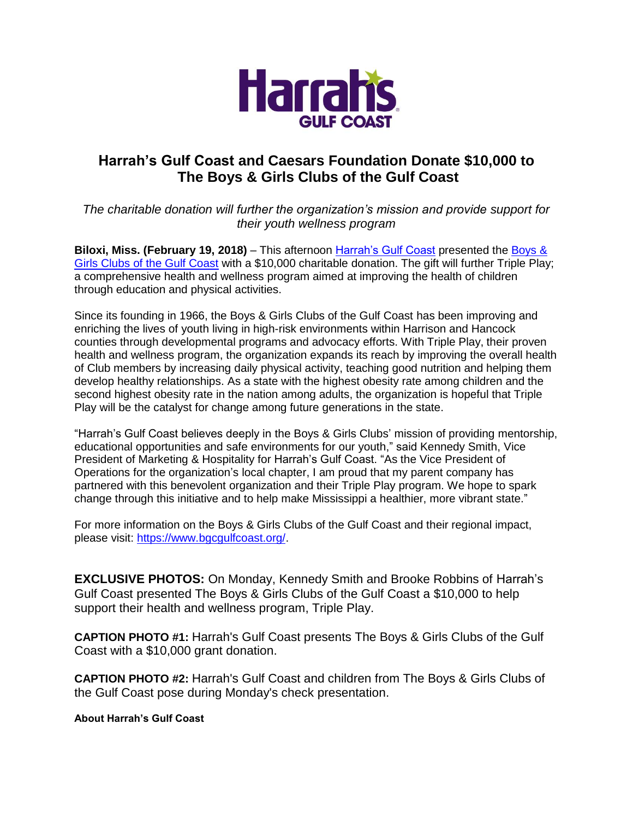

## **Harrah's Gulf Coast and Caesars Foundation Donate \$10,000 to The Boys & Girls Clubs of the Gulf Coast**

*The charitable donation will further the organization's mission and provide support for their youth wellness program* 

**Biloxi, Miss. (February 19, 2018)** – This afternoon [Harrah's Gulf Coast](https://www.caesars.com/harrahs-gulf-coast) presented the Boys & Girls Clubs [of the Gulf Coast](https://www.bgcgulfcoast.org/) with a \$10,000 charitable donation. The gift will further Triple Play; a comprehensive health and wellness program aimed at improving the health of children through education and physical activities.

Since its founding in 1966, the Boys & Girls Clubs of the Gulf Coast has been improving and enriching the lives of youth living in high-risk environments within Harrison and Hancock counties through developmental programs and advocacy efforts. With Triple Play, their proven health and wellness program, the organization expands its reach by improving the overall health of Club members by increasing daily physical activity, teaching good nutrition and helping them develop healthy relationships. As a state with the highest obesity rate among children and the second highest obesity rate in the nation among adults, the organization is hopeful that Triple Play will be the catalyst for change among future generations in the state.

"Harrah's Gulf Coast believes deeply in the Boys & Girls Clubs' mission of providing mentorship, educational opportunities and safe environments for our youth," said Kennedy Smith, Vice President of Marketing & Hospitality for Harrah's Gulf Coast. "As the Vice President of Operations for the organization's local chapter, I am proud that my parent company has partnered with this benevolent organization and their Triple Play program. We hope to spark change through this initiative and to help make Mississippi a healthier, more vibrant state."

For more information on the Boys & Girls Clubs of the Gulf Coast and their regional impact, please visit: [https://www.bgcgulfcoast.org/.](https://www.bgcgulfcoast.org/)

**EXCLUSIVE PHOTOS:** On Monday, Kennedy Smith and Brooke Robbins of Harrah's Gulf Coast presented The Boys & Girls Clubs of the Gulf Coast a \$10,000 to help support their health and wellness program, Triple Play.

**CAPTION PHOTO #1:** Harrah's Gulf Coast presents The Boys & Girls Clubs of the Gulf Coast with a \$10,000 grant donation.

**CAPTION PHOTO #2:** Harrah's Gulf Coast and children from The Boys & Girls Clubs of the Gulf Coast pose during Monday's check presentation.

**About Harrah's Gulf Coast**